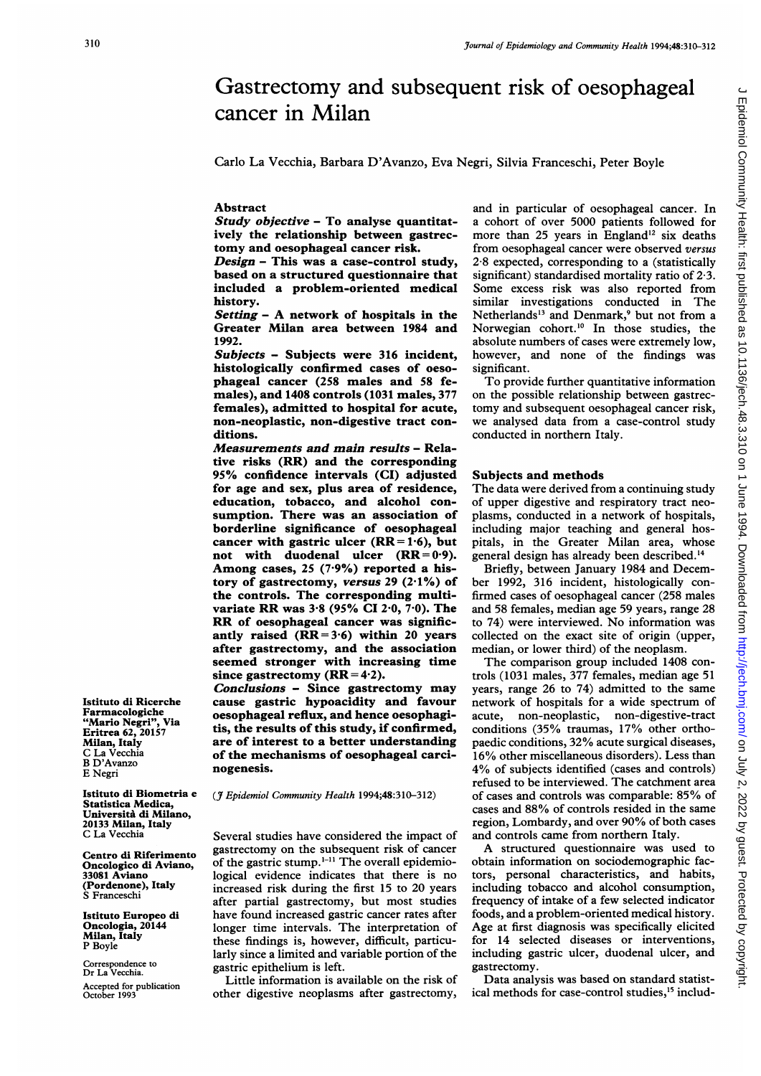## Carlo La Vecchia, Barbara D'Avanzo, Eva Negri, Silvia Franceschi, Peter Boyle Study objective - To analyse quantitatively the relationship between gastrectomy and oesophageal cancer risk. Design  $-$  This was a case-control study, based on a structured questionnaire that included a problem-oriented medical Setting - A network of hospitals in the Greater Milan area between 1984 and Subjects - Subjects were 316 incident, histologically confirmed cases of oesophageal cancer (258 males and 58 females), and 1408 controls (1031 males, 377 females), admitted to hospital for acute, non-neoplastic, non-digestive tract con-Measurements and main results - Relative risks (RR) and the corresponding 95% confidence intervals (CI) adjusted and in particular of oesophageal cancer. In a cohort of over 5000 patients followed for more than 25 years in England<sup>12</sup> six deaths from oesophageal cancer were observed versus 2-8 expected, corresponding to a (statistically significant) standardised mortality ratio of 2-3. Some excess risk was also reported from similar investigations conducted in The Netherlands<sup>13</sup> and Denmark,<sup>9</sup> but not from a Norwegian cohort.<sup>10</sup> In those studies, the absolute numbers of cases were extremely low, however, and none of the findings was significant. To provide further quantitative information on the possible relationship between gastrectomy and subsequent oesophageal cancer risk, we analysed data from a case-control study conducted in northern Italy.

Gastrectomy and subsequent risk of oesophageal

## Subjects and methods

The data were derived from a continuing study of upper digestive and respiratory tract neoplasms, conducted in a network of hospitals, including major teaching and general hospitals, in the Greater Milan area, whose general design has already been described.'4

Briefly, between January 1984 and December 1992, 316 incident, histologically confirmed cases of oesophageal cancer (258 males and 58 females, median age 59 years, range 28 to 74) were interviewed. No information was collected on the exact site of origin (upper, median, or lower third) of the neoplasm.

The comparison group included 1408 controls (1031 males, 377 females, median age 51 years, range 26 to 74) admitted to the same network of hospitals for a wide spectrum of acute, non-neoplastic, non-digestive-tract conditions (35% traumas, 17% other orthopaedic conditions, 32% acute surgical diseases, 16% other miscellaneous disorders). Less than 4% of subjects identified (cases and controls) refused to be interviewed. The catchment area of cases and controls was comparable: 85% of cases and 88% of controls resided in the same region, Lombardy, and over 90% of both cases and controls came from northern Italy.

A structured questionnaire was used to obtain information on sociodemographic factors, personal characteristics, and habits, including tobacco and alcohol consumption, frequency of intake of a few selected indicator foods, and a problem-oriented medical history. Age at first diagnosis was specifically elicited for 14 selected diseases or interventions, including gastric ulcer, duodenal ulcer, and gastrectomy.

Data analysis was based on standard statistical methods for case-control studies,<sup>15</sup> includ-

Istituto di Ricerche Farmacologiche "Mario Negri", Via Eritrea 62, 20157 Milan, Italy C La Vecchia B D'Avanzo E Negri

Istituto di Biometria e Statistica Medica, Universita di Milano, 20133 Milan, Italy C La Vecchia

Centro di Riferimento Oncologico di Aviano, 33081 Aviano (Pordenone), Italy S Franceschi

Istituto Europeo di Oncologia, 20144 Milan, Italy P Boyle

Correspondence to Dr La Vecchia. Accepted for publication October 1993

(J7 Epidemiol Community Health 1994;48:310-312)

Conclusions - Since gastrectomy may cause gastric hypoacidity and favour oesophageal reflux, and hence oesophagitis, the results of this study, if confirmed, are of interest to a better understanding of the mechanisms of oesophageal carci-

since gastrectomy  $(RR = 4.2)$ .

for age and sex, plus area of residence, education, tobacco, and alcohol consumption. There was an association of borderline significance of oesophageal cancer with gastric ulcer  $(RR = 1.6)$ , but not with duodenal ulcer  $(RR = 0.9)$ . Among cases, <sup>25</sup> (7-9%) reported a history of gastrectomy, versus 29 (2-1%) of the controls. The corresponding multivariate RR was 3-8 (95% CI 2-0, 7-0). The RR of oesophageal cancer was significantly raised  $(RR = 3.6)$  within 20 years after gastrectomy, and the association seemed stronger with increasing time

cancer in Milan

Abstract

history.

1992.

ditions.

nogenesis.

Several studies have considered the impact of gastrectomy on the subsequent risk of cancer of the gastric stump.<sup>1-11</sup> The overall epidemiological evidence indicates that there is no increased risk during the first 15 to 20 years after partial gastrectomy, but most studies have found increased gastric cancer rates after longer time intervals. The interpretation of these findings is, however, difficult, particularly since a limited and variable portion of the gastric epithelium is left.

Little information is available on the risk of other digestive neoplasms after gastrectomy,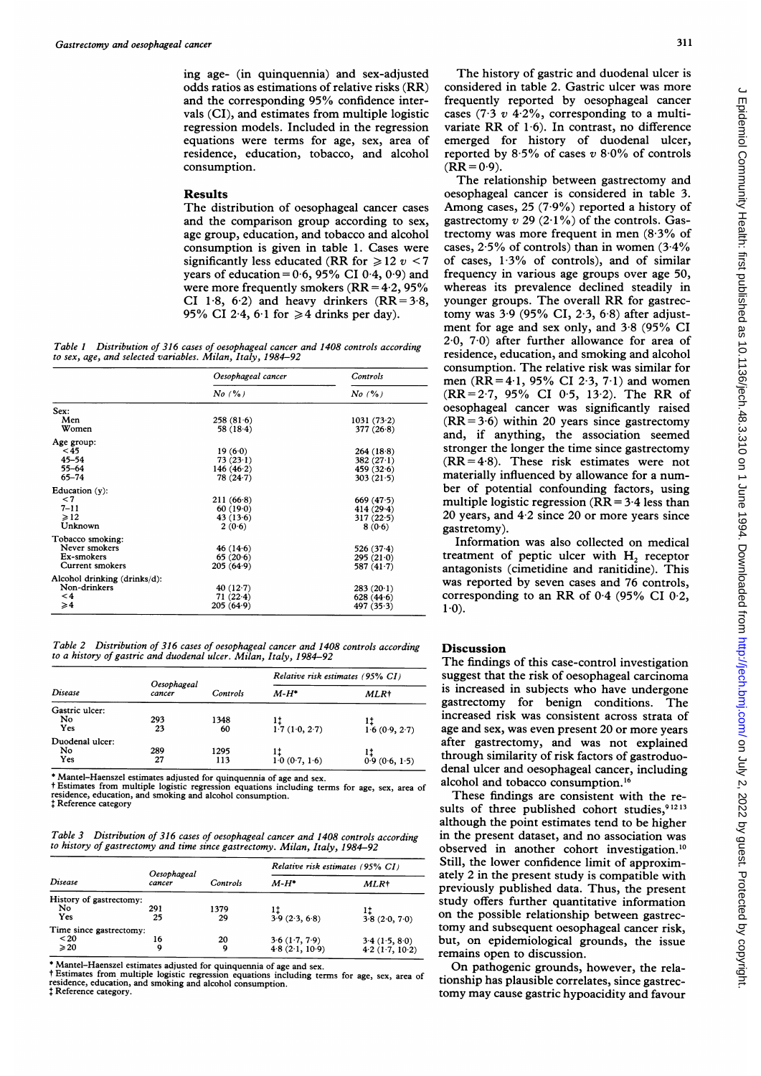ing age- (in quinquennia) and sex-adjusted odds ratios as estimations of relative risks (RR) and the corresponding 95% confidence intervals (CI), and estimates from multiple logistic regression models. Included in the regression equations were terms for age, sex, area of residence, education, tobacco, and alcohol consumption.

## Results

The distribution of oesophageal cancer cases and the comparison group according to sex, age group, education, and tobacco and alcohol consumption is given in table 1. Cases were significantly less educated (RR for  $\ge 12$  v < 7 years of education =  $0.6$ , 95% CI  $0.4$ ,  $0.9$ ) and were more frequently smokers  $(RR = 4.2, 95\%$ CI 1.8, 6.2) and heavy drinkers  $(RR=3.8,$ 95% CI 2.4, 6.1 for  $\geq 4$  drinks per day).

Table <sup>1</sup> Distribution of 316 cases of oesophageal cancer and 1408 controls according to sex, age, and selected variables. Milan, Italy, 1984-92

|                              | Oesophageal cancer | Controls     |  |
|------------------------------|--------------------|--------------|--|
|                              | $No$ $(%$          | $No$ $(%$    |  |
| Sex:                         |                    |              |  |
| Men                          | 258(81.6)          | 1031(73.2)   |  |
| Women                        | 58(18.4)           | 377 $(26.8)$ |  |
| Age group:                   |                    |              |  |
| $<$ 45                       | 19(6·0)            | 264 (18.8)   |  |
| $45 - 54$                    | 73(23.1)           | 382 $(27.1)$ |  |
| $55 - 64$                    | 146 $(46.2)$       | 459 $(32.6)$ |  |
| $65 - 74$                    | 78 (24.7)          | 303(21.5)    |  |
| Education $(y)$ :            |                    |              |  |
| $\leq 7$                     | 211 (66.8)         | 669(47.5)    |  |
| $7 - 11$                     | 60(19.0)           | $414(29-4)$  |  |
| $\geqslant$ 12               | 43(13.6)           | 317(22.5)    |  |
| Unknown                      | 2(0.6)             | 8(0.6)       |  |
| Tobacco smoking:             |                    |              |  |
| Never smokers                | 46 (14.6)          | $526(37-4)$  |  |
| Ex-smokers                   | 65(20.6)           | 295(210)     |  |
| Current smokers              | 205 (64.9)         | 587 (41.7)   |  |
| Alcohol drinking (drinks/d): |                    |              |  |
| Non-drinkers                 | 40 (12.7)          | 283(20.1)    |  |
| $\leq 4$                     | 71(22.4)           | 628 $(44.6)$ |  |
| $\geqslant$                  | 205(64.9)          | 497(35.3)    |  |

Table 2 Distribution of 316 cases of oesophageal cancer and 1408 controls according to a history of gastric and duodenal ulcer. Milan, Italy, 1984-92

| Disease                      | Oesophageal<br>cancer | <b>Controls</b> | Relative risk estimates (95% CI) |               |
|------------------------------|-----------------------|-----------------|----------------------------------|---------------|
|                              |                       |                 | $M-H^*$                          | MLR+          |
| Gastric ulcer:<br>No<br>Yes  | 293<br>23             | 1348<br>60      | 1.7(1.0, 2.7)                    | 1.6(0.9, 2.7) |
| Duodenal ulcer:<br>No<br>Yes | 289<br>27             | 1295<br>113     | 1.0(0.7, 1.6)                    | 0.9(0.6, 1.5) |

\* Mantel-Haenszel estimates adjusted for quinquennia of age and sex.

t Estimates from multiple logistic regression equations including terms for age, sex, area of residence, education, and smoking and alcohol consumption. # Reference category

Table 3 Distribution of 316 cases of oesophageal cancer and 1408 controls according to history of gastrectomy and time since gastrectomy. Milan, Italy, 1984-92

| Disease                 | Oesophageal<br>cancer | Controls | Relative risk estimates (95% CI) |                  |
|-------------------------|-----------------------|----------|----------------------------------|------------------|
|                         |                       |          | $M-H^*$                          | MLR <sup>+</sup> |
| History of gastrectomy: |                       |          |                                  |                  |
| No                      | 291                   | 1379     |                                  |                  |
| Yes                     | 25                    | 29       | 3.9(2.3, 6.8)                    | 3.8(2.0, 7.0)    |
| Time since gastrectomy: |                       |          |                                  |                  |
| $20$                    | 16                    | 20       | 3.6(1.7, 7.9)                    | 3.4(1.5, 8.0)    |
| $\geqslant$ 20          | 9                     | 9        | 4.8(2.1, 10.9)                   | 4.2(1.7, 10.2)   |

\* Mantel-Haenszel estimates adjusted for quinquennia of age and sex.

t Estimates from multiple logistic regression equations including terms for age, sex, area of residence, education, and smoking and alcohol consumption.  $t$  Reference category.

The history of gastric and duodenal ulcer is considered in table 2. Gastric ulcer was more frequently reported by oesophageal cancer cases (7.3  $v$  4.2%, corresponding to a multivariate RR of 1-6). In contrast, no difference emerged for history of duodenal ulcer, reported by 8.5% of cases  $v$  8.0% of controls  $(RR = 0.9)$ .

The relationship between gastrectomy and oesophageal cancer is considered in table 3. Among cases, 25 (7-9%) reported <sup>a</sup> history of gastrectomy  $v$  29 (2.1%) of the controls. Gastrectomy was more frequent in men (8-3% of cases,  $2.5\%$  of controls) than in women  $(3.4\%$ of cases, 1-3% of controls), and of similar frequency in various age groups over age 50, whereas its prevalence declined steadily in younger groups. The overall RR for gastrectomy was 3 9 (95% CI, 2 3, 6 8) after adjustment for age and sex only, and 3.8 (95% CI 2-0, 7-0) after further allowance for area of residence, education, and smoking and alcohol consumption. The relative risk was similar for men (RR=4.1, 95% CI 2.3, 7.1) and women (RR=2-7, 95% CI 0-5, 13-2). The RR of oesophageal cancer was significantly raised  $(RR=3.6)$  within 20 years since gastrectomy and, if anything, the association seemed stronger the longer the time since gastrectomy  $(RR = 4.8)$ . These risk estimates were not materially influenced by allowance for a number of potential confounding factors, using multiple logistic regression  $(RR = 3.4$  less than 20 years, and 4-2 since 20 or more years since gastretomy).

Information was also collected on medical treatment of peptic ulcer with H<sub>2</sub> receptor antagonists (cimetidine and ranitidine). This was reported by seven cases and 76 controls, corresponding to an RR of  $0.4$  (95% CI  $0.2$ ,  $1-0$ ).

## Discussion

The findings of this case-control investigation suggest that the risk of oesophageal carcinoma is increased in subjects who have undergone gastrectomy for benign conditions. The increased risk was consistent across strata of age and sex, was even present 20 or more years after gastrectomy, and was not explained through similarity of risk factors of gastroduodenal ulcer and oesophageal cancer, including alcohol and tobacco consumption.<sup>16</sup>

These findings are consistent with the results of three published cohort studies,<sup>91213</sup> although the point estimates tend to be higher in the present dataset, and no association was observed in another cohort investigation.'0 Still, the lower confidence limit of approximately 2 in the present study is compatible with previously published data. Thus, the present study offers further quantitative information on the possible relationship between gastrectomy and subsequent oesophageal cancer risk, but, on epidemiological grounds, the issue remains open to discussion.

On pathogenic grounds, however, the relationship has plausible correlates, since gastrectomy may cause gastric hypoacidity and favour